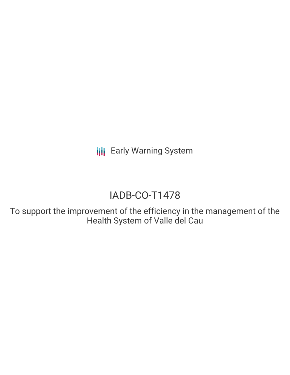**III** Early Warning System

# IADB-CO-T1478

To support the improvement of the efficiency in the management of the Health System of Valle del Cau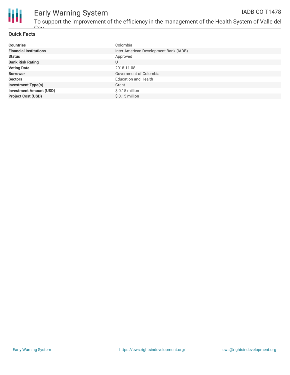

#### Early Warning System To support the improvement of the efficiency in the management of the Health System of Valle del IADB-CO-T1478

#### **Quick Facts**

 $C_{211}$ 

| <b>Countries</b>               | Colombia                               |
|--------------------------------|----------------------------------------|
| <b>Financial Institutions</b>  | Inter-American Development Bank (IADB) |
| <b>Status</b>                  | Approved                               |
| <b>Bank Risk Rating</b>        | U                                      |
| <b>Voting Date</b>             | 2018-11-08                             |
| <b>Borrower</b>                | Government of Colombia                 |
| <b>Sectors</b>                 | <b>Education and Health</b>            |
| <b>Investment Type(s)</b>      | Grant                                  |
| <b>Investment Amount (USD)</b> | $$0.15$ million                        |
| <b>Project Cost (USD)</b>      | $$0.15$ million                        |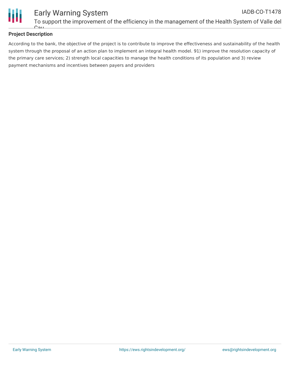

# **Project Description**

 $C_{211}$ 

According to the bank, the objective of the project is to contribute to improve the effectiveness and sustainability of the health system through the proposal of an action plan to implement an integral health model. 91) improve the resolution capacity of the primary care services; 2) strength local capacities to manage the health conditions of its population and 3) review payment mechanisms and incentives between payers and providers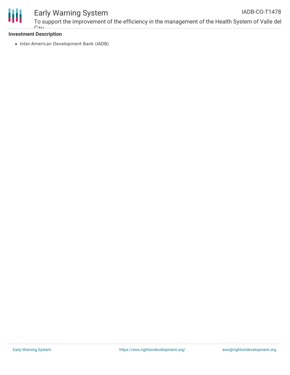

#### Early Warning System To support the improvement of the efficiency in the management of the Health System of Valle del IADB-CO-T1478

# **Investment Description**

Cau

• Inter-American Development Bank (IADB)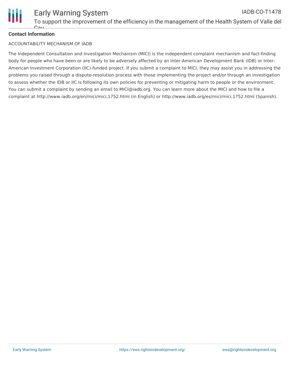

# **Contact Information**

#### ACCOUNTABILITY MECHANISM OF IADB

The Independent Consultation and Investigation Mechanism (MICI) is the independent complaint mechanism and fact-finding body for people who have been or are likely to be adversely affected by an Inter-American Development Bank (IDB) or Inter-American Investment Corporation (IIC)-funded project. If you submit a complaint to MICI, they may assist you in addressing the problems you raised through a dispute-resolution process with those implementing the project and/or through an investigation to assess whether the IDB or IIC is following its own policies for preventing or mitigating harm to people or the environment. You can submit a complaint by sending an email to MICI@iadb.org. You can learn more about the MICI and how to file a complaint at http://www.iadb.org/en/mici/mici,1752.html (in English) or http://www.iadb.org/es/mici/mici,1752.html (Spanish).